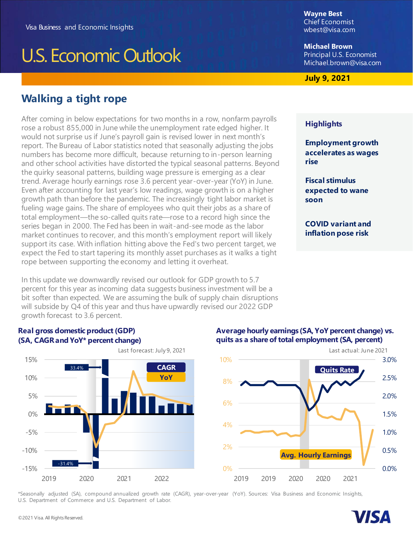# U.S. Economic Outlook

## **Walking a tight rope**

After coming in below expectations for two months in a row, nonfarm payrolls rose a robust 855,000 in June while the unemployment rate edged higher. It would not surprise us if June's payroll gain is revised lower in next month's report. The Bureau of Labor statistics noted that seasonally adjusting the jobs numbers has become more difficult, because returning to in-person learning and other school activities have distorted the typical seasonal patterns. Beyond the quirky seasonal patterns, building wage pressure is emerging as a clear trend. Average hourly earnings rose 3.6 percent year-over-year (YoY) in June. Even after accounting for last year's low readings, wage growth is on a higher growth path than before the pandemic. The increasingly tight labor market is fueling wage gains. The share of employees who quit their jobs as a share of total employment—the so-called quits rate—rose to a record high since the series began in 2000. The Fed has been in wait-and-see mode as the labor market continues to recover, and this month's employment report will likely support its case. With inflation hitting above the Fed's two percent target, we expect the Fed to start tapering its monthly asset purchases as it walks a tight rope between supporting the economy and letting it overheat.

In this update we downwardly revised our outlook for GDP growth to 5.7 percent for this year as incoming data suggests business investment will be a bit softer than expected. We are assuming the bulk of supply chain disruptions will subside by Q4 of this year and thus have upwardly revised our 2022 GDP growth forecast to 3.6 percent.

**Wayne Best** Chief Economist [wbest@visa.com](mailto:wbest@visa.com)

**Michael Brown** Principal U.S. Economist [Michael.brown@visa.com](mailto:Michael.brown@visa.com)

#### **July 9, 2021**

#### **Highlights**

**Employment growth accelerates as wages rise**

**Fiscal stimulus expected to wane soon**

**COVID variant and inflation pose risk**

#### **Real gross domestic product (GDP) (SA, CAGR and YoY\* percent change)**



#### **Average hourly earnings (SA, YoY percent change) vs. quits as a share of total employment (SA, percent)**



\*Seasonally adjusted (SA), compound annualized growth rate (CAGR), year-over-year (YoY). Sources: Visa Business and Economic Insights, U.S. Department of Commerce and U.S. Department of Labor.

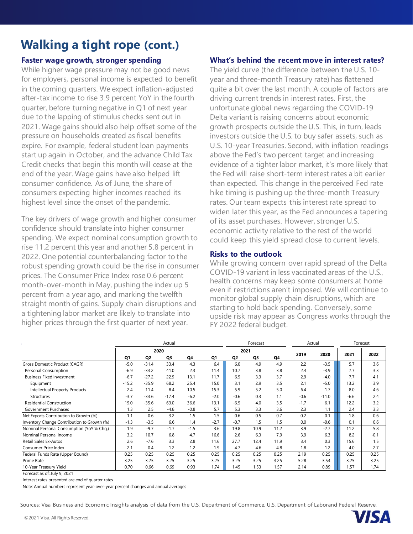# **Walking a tight rope (cont.)**

#### **Faster wage growth, stronger spending**

While higher wage pressure may not be good news for employers, personal income is expected to benefit in the coming quarters. We expect inflation-adjusted after-tax income to rise 3.9 percent YoY in the fourth quarter, before turning negative in Q1 of next year due to the lapping of stimulus checks sent out in 2021. Wage gains should also help offset some of the pressure on households created as fiscal benefits expire. For example, federal student loan payments start up again in October, and the advance Child Tax Credit checks that begin this month will cease at the end of the year. Wage gains have also helped lift consumer confidence. As of June, the share of consumers expecting higher incomes reached its highest level since the onset of the pandemic.

The key drivers of wage growth and higher consumer confidence should translate into higher consumer spending. We expect nominal consumption growth to rise 11.2 percent this year and another 5.8 percent in 2022. One potential counterbalancing factor to the robust spending growth could be the rise in consumer prices. The Consumer Price Index rose 0.6 percent month-over-month in May, pushing the index up 5 percent from a year ago, and marking the twelfth straight month of gains. Supply chain disruptions and a tightening labor market are likely to translate into higher prices through the first quarter of next year.

#### **What's behind the recent move in interest rates?**

The yield curve (the difference between the U.S. 10 year and three-month Treasury rate) has flattened quite a bit over the last month. A couple of factors are driving current trends in interest rates. First, the unfortunate global news regarding the COVID-19 Delta variant is raising concerns about economic growth prospects outside the U.S. This, in turn, leads investors outside the U.S. to buy safer assets, such as U.S. 10-year Treasuries. Second, with inflation readings above the Fed's two percent target and increasing evidence of a tighter labor market, it's more likely that the Fed will raise short-term interest rates a bit earlier than expected. This change in the perceived Fed rate hike timing is pushing up the three-month Treasury rates. Our team expects this interest rate spread to widen later this year, as the Fed announces a tapering of its asset purchases. However, stronger U.S. economic activity relative to the rest of the world could keep this yield spread close to current levels.

#### **Risks to the outlook**

While growing concern over rapid spread of the Delta COVID-19 variant in less vaccinated areas of the U.S., health concerns may keep some consumers at home even if restrictions aren't imposed. We will continue to monitor global supply chain disruptions, which are starting to hold back spending. Conversely, some upside risk may appear as Congress works through the FY 2022 federal budget.

|                                             | Actual  |         |         |        |        | Forecast       |        |        | Actual |         | Forecast |        |
|---------------------------------------------|---------|---------|---------|--------|--------|----------------|--------|--------|--------|---------|----------|--------|
|                                             | 2020    |         |         | 2021   |        |                |        | 2019   | 2020   | 2021    | 2022     |        |
|                                             | Q1      | Q2      | Q3      | Q4     | Q1     | Q <sub>2</sub> | Q3     | Q4     |        |         |          |        |
| Gross Domestic Product (CAGR)               | $-5.0$  | $-31.4$ | 33.4    | 4.3    | 6.4    | 6.0            | 4.9    | 4.9    | 2.2    | $-3.5$  | 5.7      | 3.6    |
| Personal Consumption                        | $-6.9$  | $-33.2$ | 41.0    | 2.3    | 11.4   | 10.7           | 3.8    | 3.8    | 2.4    | $-3.9$  | 7.7      | 3.3    |
| <b>Business Fixed Investment</b>            | $-6.7$  | $-27.2$ | 22.9    | 13.1   | 11.7   | 6.5            | 3.3    | 3.7    | 2.9    | $-4.0$  | 7.7      | 4.1    |
| Equipment                                   | $-15.2$ | $-35.9$ | 68.2    | 25.4   | 15.0   | 3.1            | 2.9    | 3.5    | 2.1    | $-5.0$  | 13.2     | 3.9    |
| Intellectual Property Products              | 2.4     | $-11.4$ | 8.4     | 10.5   | 15.3   | 5.9            | 5.2    | 5.0    | 6.4    | 1.7     | 8.0      | 4.6    |
| <b>Structures</b>                           | $-3.7$  | $-33.6$ | $-17.4$ | $-6.2$ | $-2.0$ | $-0.6$         | 0.3    | 1.1    | $-0.6$ | $-11.0$ | $-6.6$   | 2.4    |
| <b>Residential Construction</b>             | 19.0    | $-35.6$ | 63.0    | 36.6   | 13.1   | $-6.5$         | 4.0    | 3.5    | $-1.7$ | 6.1     | 12.2     | 3.2    |
| Government Purchases                        | 1.3     | 2.5     | $-4.8$  | $-0.8$ | 5.7    | 5.3            | 3.3    | 3.6    | 2.3    | 1.1     | 2.4      | 3.3    |
| Net Exports Contribution to Growth (%)      | 1.1     | 0.6     | $-3.2$  | $-1.5$ | $-1.5$ | $-0.6$         | $-0.5$ | $-0.7$ | $-0.2$ | $-0.1$  | $-1.8$   | $-0.6$ |
| Inventory Change Contribution to Growth (%) | $-1.3$  | $-3.5$  | 6.6     | 1.4    | $-2.7$ | $-0.7$         | 1.5    | 1.5    | 0.0    | $-0.6$  | 0.1      | 0.6    |
| Nominal Personal Consumption (YoY % Chg.)   | 1.9     | $-9.7$  | $-1.7$  | $-1.5$ | 3.6    | 19.8           | 10.9   | 11.2   | 3.9    | $-2.7$  | 11.2     | 5.8    |
| Nominal Personal Income                     | 3.2     | 10.7    | 6.8     | 4.7    | 16.6   | 2.6            | 6.3    | 7.9    | 3.9    | 6.3     | 8.2      | $-0.1$ |
| Retail Sales Ex-Autos                       | 2.6     | $-7.6$  | 3.3     | 2.8    | 11.6   | 27.7           | 12.4   | 11.9   | 3.4    | 0.3     | 15.6     | 1.5    |
| Consumer Price Index                        | 2.1     | 0.4     | 1.2     | 1.2    | 1.9    | 4.7            | 4.6    | 4.8    | 1.8    | 1.2     | 4.0      | 2.7    |
| Federal Funds Rate (Upper Bound)            | 0.25    | 0.25    | 0.25    | 0.25   | 0.25   | 0.25           | 0.25   | 0.25   | 2.19   | 0.25    | 0.25     | 0.25   |
| <b>Prime Rate</b>                           | 3.25    | 3.25    | 3.25    | 3.25   | 3.25   | 3.25           | 3.25   | 3.25   | 5.28   | 3.54    | 3.25     | 3.25   |
| 10-Year Treasury Yield                      | 0.70    | 0.66    | 0.69    | 0.93   | 1.74   | 1.45           | 1.53   | 1.57   | 2.14   | 0.89    | 1.57     | 1.74   |

Forecast as of: July 9, 2021

Interest rates presented are end of quarter rates

Note: Annual numbers represent year-over-year percent changes and annual averages

Sources: Visa Business and Economic Insights analysis of data from the U.S. Department of Commerce, U.S. Department of Laborand Federal Reserve.